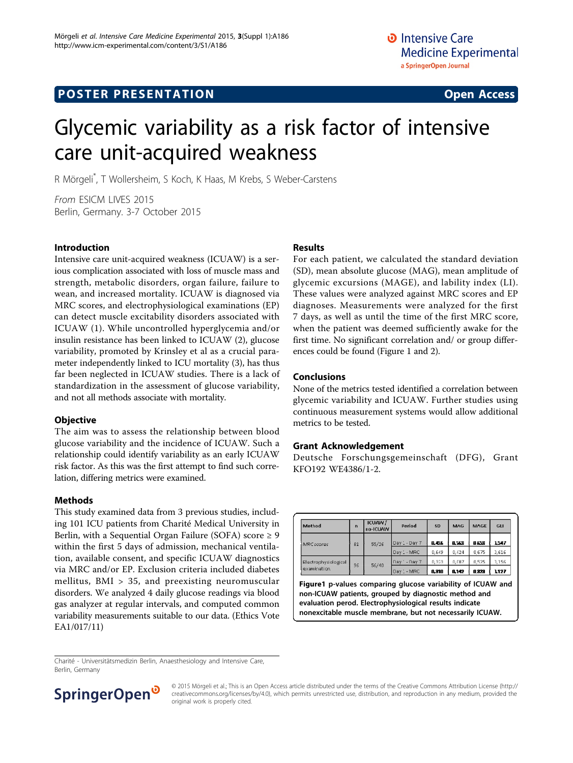# Glycemic variability as a risk factor of intensive care unit-acquired weakness

R Mörgeli\* , T Wollersheim, S Koch, K Haas, M Krebs, S Weber-Carstens

From ESICM LIVES 2015 Berlin, Germany. 3-7 October 2015

#### Introduction

Intensive care unit-acquired weakness (ICUAW) is a serious complication associated with loss of muscle mass and strength, metabolic disorders, organ failure, failure to wean, and increased mortality. ICUAW is diagnosed via MRC scores, and electrophysiological examinations (EP) can detect muscle excitability disorders associated with ICUAW (1). While uncontrolled hyperglycemia and/or insulin resistance has been linked to ICUAW (2), glucose variability, promoted by Krinsley et al as a crucial parameter independently linked to ICU mortality (3), has thus far been neglected in ICUAW studies. There is a lack of standardization in the assessment of glucose variability, and not all methods associate with mortality.

# **Objective**

The aim was to assess the relationship between blood glucose variability and the incidence of ICUAW. Such a relationship could identify variability as an early ICUAW risk factor. As this was the first attempt to find such correlation, differing metrics were examined.

# Methods

This study examined data from 3 previous studies, including 101 ICU patients from Charité Medical University in Berlin, with a Sequential Organ Failure (SOFA) score  $\geq 9$ within the first 5 days of admission, mechanical ventilation, available consent, and specific ICUAW diagnostics via MRC and/or EP. Exclusion criteria included diabetes mellitus,  $BMI > 35$ , and preexisting neuromuscular disorders. We analyzed 4 daily glucose readings via blood gas analyzer at regular intervals, and computed common variability measurements suitable to our data. (Ethics Vote EA1/017/11)

#### Results

For each patient, we calculated the standard deviation (SD), mean absolute glucose (MAG), mean amplitude of glycemic excursions (MAGE), and lability index (LI). These values were analyzed against MRC scores and EP diagnoses. Measurements were analyzed for the first 7 days, as well as until the time of the first MRC score, when the patient was deemed sufficiently awake for the first time. No significant correlation and/ or group differences could be found (Figure 1 and [2\)](#page-1-0).

### Conclusions

None of the metrics tested identified a correlation between glycemic variability and ICUAW. Further studies using continuous measurement systems would allow additional metrics to be tested.

#### Grant Acknowledgement

Deutsche Forschungsgemeinschaft (DFG), Grant KFO192 WE4386/1-2.

| Method                              | n  | <b>ICUAW</b><br>no-ICUAW | Period          | <b>SD</b> | <b>MAG</b> | <b>MAGE</b> | <b>GLI</b> |
|-------------------------------------|----|--------------------------|-----------------|-----------|------------|-------------|------------|
| <b>MRC</b> scores                   | 81 | 55/26                    | Day 1 - Day 7   | 8.456     | 0.553      | 8238        | 1547       |
|                                     |    |                          | Day 1 - MRC     | 0.649     | 0,424      | 0675        | 3.616      |
| Electrophysiological<br>examination | 96 | 56/40                    | $-Day 7$<br>Day | 0.323     | 0.087      | 0.525       | 1.156      |
|                                     |    |                          | Dav 1 - MRC     | 0.310     | 0.142      | 0323        | 1127       |

Figure1 p-values comparing glucose variability of ICUAW and non-ICUAW patients, grouped by diagnostic method and evaluation perod. Electrophysiological results indicate nonexcitable muscle membrane, but not necessarily ICUAW.

Charité - Universitätsmedizin Berlin, Anaesthesiology and Intensive Care, Berlin, Germany



© 2015 Mörgeli et al.; This is an Open Access article distributed under the terms of the Creative Commons Attribution License [\(http://](http://creativecommons.org/licenses/by/4.0) [creativecommons.org/licenses/by/4.0](http://creativecommons.org/licenses/by/4.0)), which permits unrestricted use, distribution, and reproduction in any medium, provided the original work is properly cited.